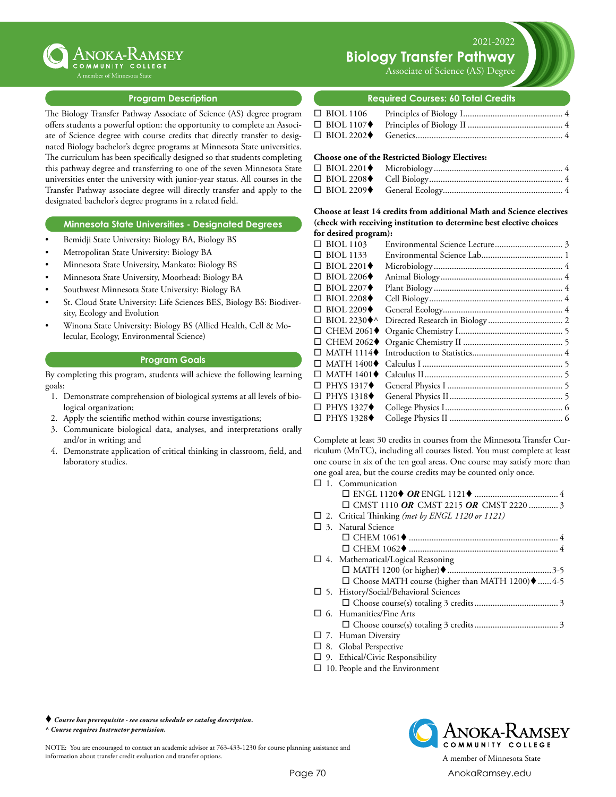

### **Program Description**

The Biology Transfer Pathway Associate of Science (AS) degree program offers students a powerful option: the opportunity to complete an Associate of Science degree with course credits that directly transfer to designated Biology bachelor's degree programs at Minnesota State universities. The curriculum has been specifically designed so that students completing this pathway degree and transferring to one of the seven Minnesota State universities enter the university with junior-year status. All courses in the Transfer Pathway associate degree will directly transfer and apply to the designated bachelor's degree programs in a related field.

#### **Minnesota State Universities - Designated Degrees**

- Bemidji State University: Biology BA, Biology BS
- Metropolitan State University: Biology BA
- Minnesota State University, Mankato: Biology BS
- Minnesota State University, Moorhead: Biology BA
- Southwest Minnesota State University: Biology BA
- St. Cloud State University: Life Sciences BES, Biology BS: Biodiversity, Ecology and Evolution
- Winona State University: Biology BS (Allied Health, Cell & Molecular, Ecology, Environmental Science)

#### **Program Goals**

By completing this program, students will achieve the following learning goals:

- 1. Demonstrate comprehension of biological systems at all levels of biological organization;
- 2. Apply the scientific method within course investigations;
- 3. Communicate biological data, analyses, and interpretations orally and/or in writing; and
- 4. Demonstrate application of critical thinking in classroom, field, and laboratory studies.

Associate of Science (AS) Degree

#### **Required Courses: 60 Total Credits**

#### **Choose one of the Restricted Biology Electives:**

**Choose at least 14 credits from additional Math and Science electives (check with receiving institution to determine best elective choices for desired program):**

| $\Box$ BIOL 1103                 |  |
|----------------------------------|--|
| $\Box$ BIOL 1133                 |  |
| $\Box$ BIOL 2201 $\blacklozenge$ |  |
| $\Box$ BIOL 2206 $\blacklozenge$ |  |
| $\Box$ BIOL 2207 $\blacklozenge$ |  |
| $\Box$ BIOL 2208 $\blacklozenge$ |  |
| $\Box$ BIOL 2209 $\blacklozenge$ |  |
| $\Box$ BIOL 2230 $\blacklozenge$ |  |
| $\Box$ CHEM 2061 $\blacklozenge$ |  |
| $\Box$ CHEM 2062 $\blacklozenge$ |  |
| $\Box$ MATH 1114 $\blacklozenge$ |  |
| $\Box$ MATH 1400 $\blacklozenge$ |  |
| $\Box$ MATH 1401 $\blacklozenge$ |  |
| $\Box$ PHYS 1317 $\blacklozenge$ |  |
| $\Box$ PHYS 1318 $\blacklozenge$ |  |
| $\Box$ PHYS 1327 $\blacklozenge$ |  |
| $\Box$ PHYS 1328 $\blacklozenge$ |  |
|                                  |  |

Complete at least 30 credits in courses from the Minnesota Transfer Curriculum (MnTC), including all courses listed. You must complete at least one course in six of the ten goal areas. One course may satisfy more than one goal area, but the course credits may be counted only once.

- $\square$  1. Communication ¨ ENGL 1120t *OR* ENGL 1121t...................................... 4 □ CMST 1110 OR CMST 2215 OR CMST 2220................ 3 □ 2. Critical Thinking (met by ENGL 1120 or 1121)  $\square$  3. Natural Science ¨ CHEM 1061t................................................................... 4 ¨ CHEM 1062t................................................................... 4  $\square$  4. Mathematical/Logical Reasoning ¨ MATH 1200 (or higher)t...............................................3-5  $\square$  Choose MATH course (higher than MATH 1200) $\blacklozenge$ ......4-5  $\square$  5. History/Social/Behavioral Sciences ¨ Choose course(s) totaling 3 credits...................................... 3  $\square$  6. Humanities/Fine Arts ¨ Choose course(s) totaling 3 credits...................................... 3  $\square$  7. Human Diversity □ 8. Global Perspective
- $\square$  9. Ethical/Civic Responsibility
- $\square$  10. People and the Environment



NOTE: You are encouraged to contact an academic advisor at 763-433-1230 for course planning assistance and information about transfer credit evaluation and transfer options. A member of Minnesota State



Page 70 [AnokaRamsey.e](http://www.anokaramsey.edu/)du